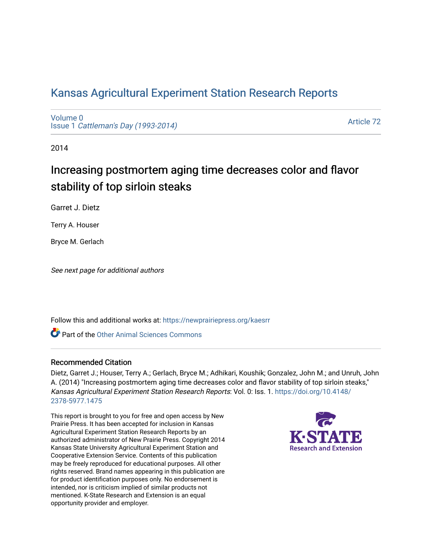# [Kansas Agricultural Experiment Station Research Reports](https://newprairiepress.org/kaesrr)

[Volume 0](https://newprairiepress.org/kaesrr/vol0) Issue 1 [Cattleman's Day \(1993-2014\)](https://newprairiepress.org/kaesrr/vol0/iss1) 

[Article 72](https://newprairiepress.org/kaesrr/vol0/iss1/72) 

2014

# Increasing postmortem aging time decreases color and flavor stability of top sirloin steaks

Garret J. Dietz

Terry A. Houser

Bryce M. Gerlach

See next page for additional authors

Follow this and additional works at: [https://newprairiepress.org/kaesrr](https://newprairiepress.org/kaesrr?utm_source=newprairiepress.org%2Fkaesrr%2Fvol0%2Fiss1%2F72&utm_medium=PDF&utm_campaign=PDFCoverPages) 

Part of the [Other Animal Sciences Commons](http://network.bepress.com/hgg/discipline/82?utm_source=newprairiepress.org%2Fkaesrr%2Fvol0%2Fiss1%2F72&utm_medium=PDF&utm_campaign=PDFCoverPages)

#### Recommended Citation

Dietz, Garret J.; Houser, Terry A.; Gerlach, Bryce M.; Adhikari, Koushik; Gonzalez, John M.; and Unruh, John A. (2014) "Increasing postmortem aging time decreases color and flavor stability of top sirloin steaks," Kansas Agricultural Experiment Station Research Reports: Vol. 0: Iss. 1. [https://doi.org/10.4148/](https://doi.org/10.4148/2378-5977.1475) [2378-5977.1475](https://doi.org/10.4148/2378-5977.1475) 

This report is brought to you for free and open access by New Prairie Press. It has been accepted for inclusion in Kansas Agricultural Experiment Station Research Reports by an authorized administrator of New Prairie Press. Copyright 2014 Kansas State University Agricultural Experiment Station and Cooperative Extension Service. Contents of this publication may be freely reproduced for educational purposes. All other rights reserved. Brand names appearing in this publication are for product identification purposes only. No endorsement is intended, nor is criticism implied of similar products not mentioned. K-State Research and Extension is an equal opportunity provider and employer.

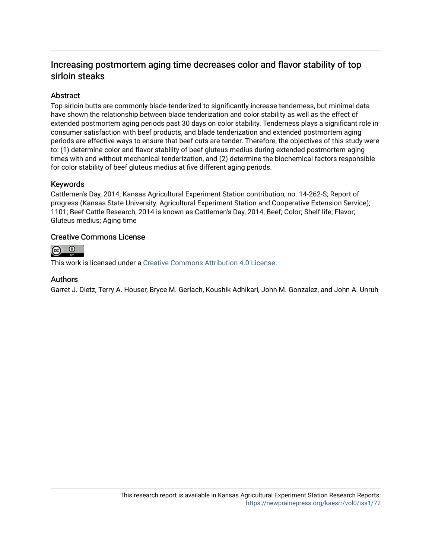# Increasing postmortem aging time decreases color and flavor stability of top sirloin steaks

#### **Abstract**

Top sirloin butts are commonly blade-tenderized to significantly increase tenderness, but minimal data have shown the relationship between blade tenderization and color stability as well as the effect of extended postmortem aging periods past 30 days on color stability. Tenderness plays a significant role in consumer satisfaction with beef products, and blade tenderization and extended postmortem aging periods are effective ways to ensure that beef cuts are tender. Therefore, the objectives of this study were to: (1) determine color and flavor stability of beef gluteus medius during extended postmortem aging times with and without mechanical tenderization, and (2) determine the biochemical factors responsible for color stability of beef gluteus medius at five different aging periods.

#### Keywords

Cattlemen's Day, 2014; Kansas Agricultural Experiment Station contribution; no. 14-262-S; Report of progress (Kansas State University. Agricultural Experiment Station and Cooperative Extension Service); 1101; Beef Cattle Research, 2014 is known as Cattlemen's Day, 2014; Beef; Color; Shelf life; Flavor; Gluteus medius; Aging time

#### Creative Commons License



This work is licensed under a [Creative Commons Attribution 4.0 License](https://creativecommons.org/licenses/by/4.0/).

#### Authors

Garret J. Dietz, Terry A. Houser, Bryce M. Gerlach, Koushik Adhikari, John M. Gonzalez, and John A. Unruh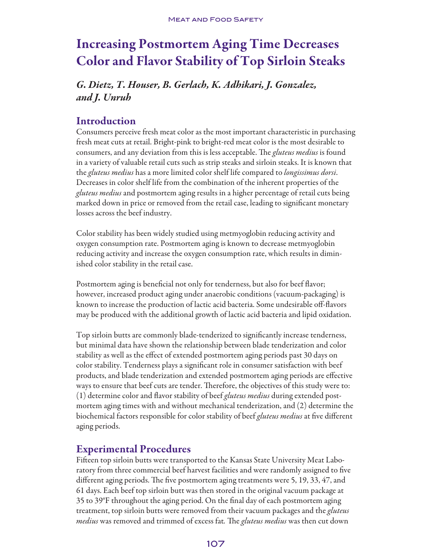# Increasing Postmortem Aging Time Decreases Color and Flavor Stability of Top Sirloin Steaks

# *G. Dietz, T. Houser, B. Gerlach, K. Adhikari, J. Gonzalez, and J. Unruh*

# Introduction

Consumers perceive fresh meat color as the most important characteristic in purchasing fresh meat cuts at retail. Bright-pink to bright-red meat color is the most desirable to consumers, and any deviation from this is less acceptable. The *gluteus medius* is found in a variety of valuable retail cuts such as strip steaks and sirloin steaks. It is known that the *gluteus medius* has a more limited color shelf life compared to *longissimus dorsi*. Decreases in color shelf life from the combination of the inherent properties of the *gluteus medius* and postmortem aging results in a higher percentage of retail cuts being marked down in price or removed from the retail case, leading to significant monetary losses across the beef industry.

Color stability has been widely studied using metmyoglobin reducing activity and oxygen consumption rate. Postmortem aging is known to decrease metmyoglobin reducing activity and increase the oxygen consumption rate, which results in diminished color stability in the retail case.

Postmortem aging is beneficial not only for tenderness, but also for beef flavor; however, increased product aging under anaerobic conditions (vacuum-packaging) is known to increase the production of lactic acid bacteria. Some undesirable off-flavors may be produced with the additional growth of lactic acid bacteria and lipid oxidation.

Top sirloin butts are commonly blade-tenderized to significantly increase tenderness, but minimal data have shown the relationship between blade tenderization and color stability as well as the effect of extended postmortem aging periods past 30 days on color stability. Tenderness plays a significant role in consumer satisfaction with beef products, and blade tenderization and extended postmortem aging periods are effective ways to ensure that beef cuts are tender. Therefore, the objectives of this study were to: (1) determine color and flavor stability of beef *gluteus medius* during extended postmortem aging times with and without mechanical tenderization, and (2) determine the biochemical factors responsible for color stability of beef *gluteus medius* at five different aging periods.

# Experimental Procedures

Fifteen top sirloin butts were transported to the Kansas State University Meat Laboratory from three commercial beef harvest facilities and were randomly assigned to five different aging periods. The five postmortem aging treatments were 5, 19, 33, 47, and 61 days. Each beef top sirloin butt was then stored in the original vacuum package at 35 to 39°F throughout the aging period. On the final day of each postmortem aging treatment, top sirloin butts were removed from their vacuum packages and the *gluteus medius* was removed and trimmed of excess fat*.* The *gluteus medius* was then cut down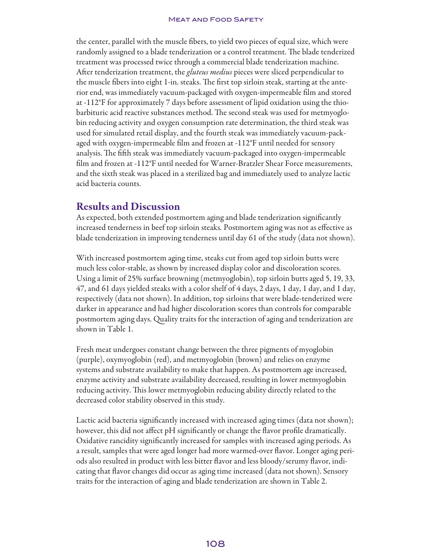#### **MEAT AND FOOD SAFETY**

the center, parallel with the muscle fibers, to yield two pieces of equal size, which were randomly assigned to a blade tenderization or a control treatment. The blade tenderized treatment was processed twice through a commercial blade tenderization machine. After tenderization treatment, the *gluteus medius* pieces were sliced perpendicular to the muscle fibers into eight 1-in. steaks. The first top sirloin steak, starting at the anterior end, was immediately vacuum-packaged with oxygen-impermeable film and stored at -112°F for approximately 7 days before assessment of lipid oxidation using the thiobarbituric acid reactive substances method. The second steak was used for metmyoglobin reducing activity and oxygen consumption rate determination, the third steak was used for simulated retail display, and the fourth steak was immediately vacuum-packaged with oxygen-impermeable film and frozen at -112°F until needed for sensory analysis. The fifth steak was immediately vacuum-packaged into oxygen-impermeable film and frozen at -112°F until needed for Warner-Bratzler Shear Force measurements, and the sixth steak was placed in a sterilized bag and immediately used to analyze lactic acid bacteria counts.

## Results and Discussion

As expected, both extended postmortem aging and blade tenderization significantly increased tenderness in beef top sirloin steaks*.* Postmortem aging was not as effective as blade tenderization in improving tenderness until day 61 of the study (data not shown).

With increased postmortem aging time, steaks cut from aged top sirloin butts were much less color-stable, as shown by increased display color and discoloration scores. Using a limit of 25% surface browning (metmyoglobin), top sirloin butts aged 5, 19, 33, 47, and 61 days yielded steaks with a color shelf of 4 days, 2 days, 1 day, 1 day, and 1 day, respectively (data not shown). In addition, top sirloins that were blade-tenderized were darker in appearance and had higher discoloration scores than controls for comparable postmortem aging days. Quality traits for the interaction of aging and tenderization are shown in Table 1.

Fresh meat undergoes constant change between the three pigments of myoglobin (purple), oxymyoglobin (red), and metmyoglobin (brown) and relies on enzyme systems and substrate availability to make that happen. As postmortem age increased, enzyme activity and substrate availability decreased, resulting in lower metmyoglobin reducing activity. This lower metmyoglobin reducing ability directly related to the decreased color stability observed in this study.

Lactic acid bacteria significantly increased with increased aging times (data not shown); however, this did not affect pH significantly or change the flavor profile dramatically. Oxidative rancidity significantly increased for samples with increased aging periods. As a result, samples that were aged longer had more warmed-over flavor. Longer aging periods also resulted in product with less bitter flavor and less bloody/serumy flavor, indicating that flavor changes did occur as aging time increased (data not shown). Sensory traits for the interaction of aging and blade tenderization are shown in Table 2.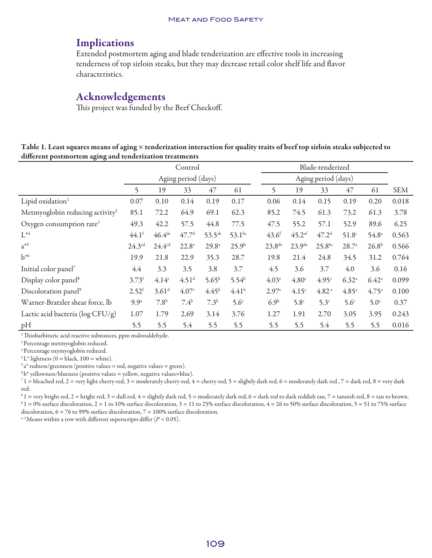### Implications

Extended postmortem aging and blade tenderization are effective tools in increasing tenderness of top sirloin steaks, but they may decrease retail color shelf life and flavor characteristics.

## Acknowledgements

This project was funded by the Beef Checkoff.

Table 1. Least squares means of aging × tenderization interaction for quality traits of beef top sirloin steaks subjected to different postmortem aging and tenderization treatments

|                                             | Control<br>Aging period (days) |                     |                   |                     |                   |                    | Blade-tenderized<br>Aging period (days) |                   |                   |                   |            |  |
|---------------------------------------------|--------------------------------|---------------------|-------------------|---------------------|-------------------|--------------------|-----------------------------------------|-------------------|-------------------|-------------------|------------|--|
|                                             |                                |                     |                   |                     |                   |                    |                                         |                   |                   |                   |            |  |
|                                             | 5                              | 19                  | 33                | 47                  | 61                | 5                  | 19                                      | 33                | 47                | 61                | <b>SEM</b> |  |
| Lipid oxidation <sup>1</sup>                | 0.07                           | 0.10                | 0.14              | 0.19                | 0.17              | 0.06               | 0.14                                    | 0.15              | 0.19              | 0.20              | 0.018      |  |
| Metmyoglobin reducing activity <sup>2</sup> | 85.1                           | 72.2                | 64.9              | 69.1                | 62.3              | 85.2               | 74.5                                    | 61.3              | 73.2              | 61.3              | 3.78       |  |
| Oxygen consumption rate <sup>3</sup>        | 49.3                           | 42.2                | 57.5              | 44.8                | 77.5              | 47.5               | 55.2                                    | 57.1              | 52.9              | 89.6              | 6.25       |  |
| $\mathrm{L}^{*4}$                           | $44.1$ <sup>f</sup>            | 46.4 <sup>de</sup>  | 47.7 <sup>d</sup> | $53.5^{ab}$         | $53.1^{bc}$       | $43.6^{f}$         | $45.2$ <sup>ef</sup>                    | 47.2 <sup>d</sup> | 51.8 <sup>c</sup> | $54.8^{\circ}$    | 0.563      |  |
| $a^{*5}$                                    | $24.3^{cd}$                    | 24.4 <sup>cd</sup>  | $22.8^\circ$      | $29.8^{\mathrm{a}}$ | $25.9^{b}$        | $23.8^{\text{de}}$ | 23.9 <sup>de</sup>                      | $25.8^{bc}$       | $28.7^{\circ}$    | 26.8 <sup>b</sup> | 0.566      |  |
| $b^{*6}$                                    | 19.9                           | 21.8                | 22.9              | 35.3                | 28.7              | 19.8               | 21.4                                    | 24.8              | 34.5              | 31.2              | 0.764      |  |
| Initial color panel <sup>7</sup>            | 4.4                            | 3.3                 | 3.5               | 3.8                 | 3.7               | 4.5                | 3.6                                     | 3.7               | 4.0               | 3.6               | 0.16       |  |
| Display color panel <sup>8</sup>            | 3.73 <sup>f</sup>              | 4.14 <sup>e</sup>   | 4.51 <sup>d</sup> | $5.65^{b}$          | $5.54^{b}$        | 4.03 <sup>e</sup>  | 4.80 <sup>c</sup>                       | 4.95 <sup>c</sup> | $6.32^{a}$        | $6.42^{\circ}$    | 0.099      |  |
| Discoloration panel <sup>9</sup>            | $2.52^{f}$                     | $3.61$ <sup>d</sup> | 4.07 <sup>c</sup> | 4.45 <sup>b</sup>   | 4.41 <sup>b</sup> | 2.97 <sup>e</sup>  | 4.15 <sup>c</sup>                       | 4.82 <sup>a</sup> | 4.85 <sup>a</sup> | $4.75^{\circ}$    | 0.100      |  |
| Warner-Bratzler shear force, lb             | 9.9 <sup>a</sup>               | 7.8 <sup>b</sup>    | $7.4^{b}$         | 7.3 <sup>b</sup>    | 5.6 <sup>c</sup>  | 6.9 <sup>b</sup>   | 5.8 <sup>c</sup>                        | 5.3 <sup>c</sup>  | 5.6 <sup>c</sup>  | 5.0 <sup>c</sup>  | 0.37       |  |
| Lactic acid bacteria (log CFU/g)            | 1.07                           | 1.79                | 2.69              | 3.14                | 3.76              | 1.27               | 1.91                                    | 2.70              | 3.05              | 3.95              | 0.243      |  |
| pH                                          | 5.5                            | 5.5                 | 5.4               | 5.5                 | 5.5               | 5.5                | 5.5                                     | 5.4               | 5.5               | 5.5               | 0.016      |  |

<sup>1</sup> Thiobarbituric acid reactive substances, ppm malonaldehyde.

2 Percentage metmyoglobin reduced.

3 Percentage oxymyoglobin reduced.

 ${}^4L^*$  lightness (0 = black, 100 = white).

 $5a^*$  redness/greenness (positive values = red, negative values = green).

 $6 b*$  yellowness/blueness (positive values = yellow, negative values=blue).

 $71$  = bleached red, 2 = very light cherry-red, 3 = moderately cherry-red, 4 = cherry-red, 5 = slightly dark red, 6 = moderately dark red, 7 = dark red, 8 = very dark red.

 $81 =$  very bright red,  $2 =$  bright red,  $3 =$  dull red,  $4 =$  slightly dark red,  $5 =$  moderately dark red,  $6 =$  dark red to dark reddish tan,  $7 =$  tannish red,  $8 =$  tan to brown.  $91 = 0\%$  surface discoloration,  $2 = 1$  to 10% surface discoloration,  $3 = 11$  to 25% surface discoloration,  $4 = 26$  to 50% surface discoloration,  $5 = 51$  to 75% surface discoloration,  $6 = 76$  to 99% surface discoloration,  $7 = 100\%$  surface discoloration.

<sup>a–f</sup> Means within a row with different superscripts differ ( $P < 0.05$ ).